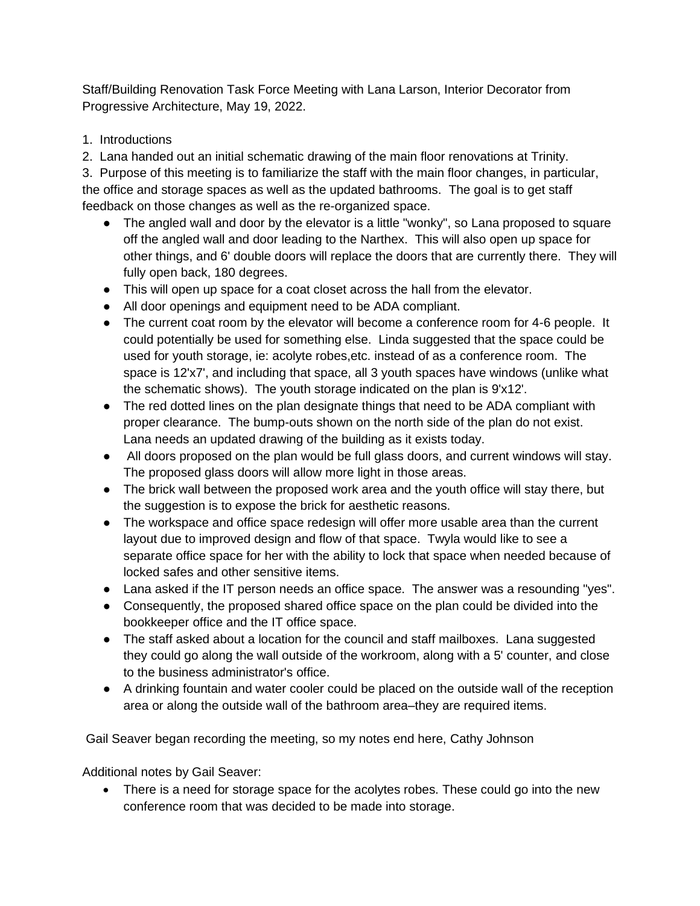Staff/Building Renovation Task Force Meeting with Lana Larson, Interior Decorator from Progressive Architecture, May 19, 2022.

1. Introductions

2. Lana handed out an initial schematic drawing of the main floor renovations at Trinity.

3. Purpose of this meeting is to familiarize the staff with the main floor changes, in particular, the office and storage spaces as well as the updated bathrooms. The goal is to get staff feedback on those changes as well as the re-organized space.

- The angled wall and door by the elevator is a little "wonky", so Lana proposed to square off the angled wall and door leading to the Narthex. This will also open up space for other things, and 6' double doors will replace the doors that are currently there. They will fully open back, 180 degrees.
- This will open up space for a coat closet across the hall from the elevator.
- All door openings and equipment need to be ADA compliant.
- The current coat room by the elevator will become a conference room for 4-6 people. It could potentially be used for something else. Linda suggested that the space could be used for youth storage, ie: acolyte robes,etc. instead of as a conference room. The space is 12'x7', and including that space, all 3 youth spaces have windows (unlike what the schematic shows). The youth storage indicated on the plan is 9'x12'.
- The red dotted lines on the plan designate things that need to be ADA compliant with proper clearance. The bump-outs shown on the north side of the plan do not exist. Lana needs an updated drawing of the building as it exists today.
- All doors proposed on the plan would be full glass doors, and current windows will stay. The proposed glass doors will allow more light in those areas.
- The brick wall between the proposed work area and the youth office will stay there, but the suggestion is to expose the brick for aesthetic reasons.
- The workspace and office space redesign will offer more usable area than the current layout due to improved design and flow of that space. Twyla would like to see a separate office space for her with the ability to lock that space when needed because of locked safes and other sensitive items.
- Lana asked if the IT person needs an office space. The answer was a resounding "yes".
- Consequently, the proposed shared office space on the plan could be divided into the bookkeeper office and the IT office space.
- The staff asked about a location for the council and staff mailboxes. Lana suggested they could go along the wall outside of the workroom, along with a 5' counter, and close to the business administrator's office.
- A drinking fountain and water cooler could be placed on the outside wall of the reception area or along the outside wall of the bathroom area–they are required items.

Gail Seaver began recording the meeting, so my notes end here, Cathy Johnson

Additional notes by Gail Seaver:

• There is a need for storage space for the acolytes robes. These could go into the new conference room that was decided to be made into storage.